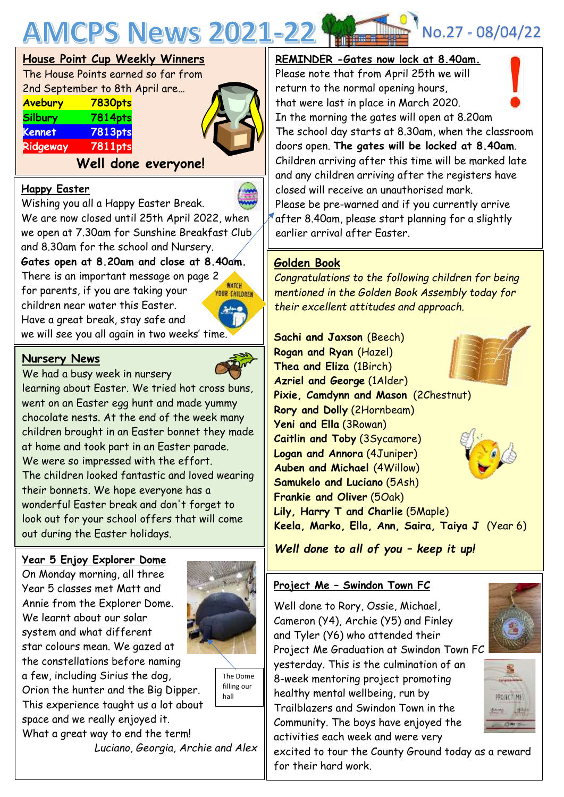

# **House Point Cup Weekly Winners**

The House Points earned so far from 2nd September to 8th April are… **Avebury 7830pts**

| <b>RYCDUI</b> Y | <u>, oovpis</u> |
|-----------------|-----------------|
| <b>Silbury</b>  | <b>7814pts</b>  |
| <b>Kennet</b>   | <b>7813pts</b>  |
| Ridgeway        | <b>7811pts</b>  |
|                 |                 |

## **Well done everyone!**

### **Happy Easter**

Wishing you all a Happy Easter Break. We are now closed until 25th April 2022, when we open at 7.30am for Sunshine Breakfast Club

and 8.30am for the school and Nursery.

**Gates open at 8.20am and close at 8.40am.**

There is an important message on page 2 for parents, if you are taking your children near water this Easter. Have a great break, stay safe and we will see you all again in two weeks' time.



## **Nursery News**

learning about Easter. We tried hot cross buns,<br>went on an Easter eag hunt and made vummy We had a busy week in nursery went on an Easter egg hunt and made yummy chocolate nests. At the end of the week many children brought in an Easter bonnet they made at home and took part in an Easter parade. We were so impressed with the effort. The children looked fantastic and loved wearing their bonnets. We hope everyone has a wonderful Easter break and don't forget to look out for your school offers that will come out during the Easter holidays.

#### **Year 5 Enjoy Explorer Dome**

On Monday morning, all three Year 5 classes met Matt and Annie from the Explorer Dome. We learnt about our solar system and what different star colours mean. We gazed at the constellations before naming



a few, including Sirius the dog, Orion the hunter and the Big Dipper. This experience taught us a lot about space and we really enjoyed it. What a great way to end the term! *Luciano, Georgia, Archie and Alex*

The Dome filling our hall

# return to the normal opening hours,

Please note that from April 25th we will

that were last in place in March 2020. In the morning the gates will open at 8.20am The school day starts at 8.30am, when the classroom doors open. **The gates will be locked at 8.40am**. Children arriving after this time will be marked late and any children arriving after the registers have closed will receive an unauthorised mark. Please be pre-warned and if you currently arrive after 8.40am, please start planning for a slightly earlier arrival after Easter.

## **Golden Book**

*Congratulations to the following children for being mentioned in the Golden Book Assembly today for their excellent attitudes and approach.*

**Sachi and Jaxson** (Beech) **Rogan and Ryan** (Hazel) **Thea and Eliza** (1Birch) **Azriel and George** (1Alder) **Pixie, Camdynn and Mason** (2Chestnut) **Rory and Dolly** (2Hornbeam) **Yeni and Ella** (3Rowan) **Caitlin and Toby** (3Sycamore) **Logan and Annora** (4Juniper) **Auben and Michael** (4Willow) **Samukelo and Luciano** (5Ash) **Frankie and Oliver** (5Oak) **Lily, Harry T and Charlie** (5Maple) **Keela, Marko, Ella, Ann, Saira, Taiya J** (Year 6)

*Well done to all of you – keep it up!*

#### **Project Me – Swindon Town FC**

Well done to Rory, Ossie, Michael, Cameron (Y4), Archie (Y5) and Finley and Tyler (Y6) who attended their Project Me Graduation at Swindon Town FC yesterday. This is the culmination of an 8-week mentoring project promoting healthy mental wellbeing, run by Trailblazers and Swindon Town in the Community. The boys have enjoyed the activities each week and were very

excited to tour the County Ground today as a reward for their hard work.







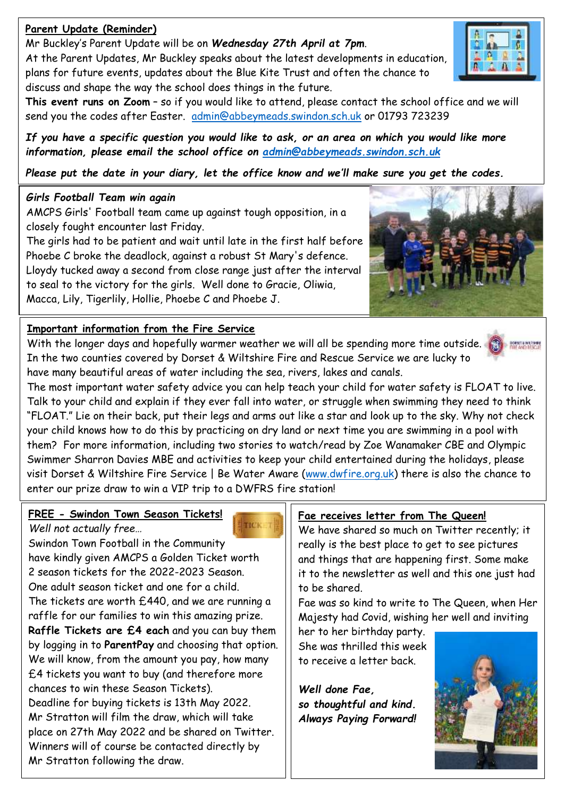## **Parent Update (Reminder)**

Mr Buckley's Parent Update will be on *Wednesday 27th April at 7pm*.

At the Parent Updates, Mr Buckley speaks about the latest developments in education, plans for future events, updates about the Blue Kite Trust and often the chance to discuss and shape the way the school does things in the future.



*If you have a specific question you would like to ask, or an area on which you would like more information, please email the school office on [admin@abbeymeads.swindon.sch.uk](mailto:admin@abbeymeads.swindon.sch.uk)*

*Please put the date in your diary, let the office know and we'll make sure you get the codes.*

# *Girls Football Team win again*

AMCPS Girls' Football team came up against tough opposition, in a closely fought encounter last Friday.

 Lloydy tucked away a second from close range just after the interval The girls had to be patient and wait until late in the first half before Phoebe C broke the deadlock, against a robust St Mary's defence. to seal to the victory for the girls. Well done to Gracie, Oliwia, Macca, Lily, Tigerlily, Hollie, Phoebe C and Phoebe J.

# **Important information from the Fire Service**

With the longer days and hopefully warmer weather we will all be spending more time outside. In the two counties covered by Dorset & Wiltshire Fire and Rescue Service we are lucky to have many beautiful areas of water including the sea, rivers, lakes and canals.

The most important water safety advice you can help teach your child for water safety is FLOAT to live. Talk to your child and explain if they ever fall into water, or struggle when swimming they need to think "FLOAT." Lie on their back, put their legs and arms out like a star and look up to the sky. Why not check your child knows how to do this by practicing on dry land or next time you are swimming in a pool with them? For more information, including two stories to watch/read by Zoe Wanamaker CBE and Olympic Swimmer Sharron Davies MBE and activities to keep your child entertained during the holidays, please visit Dorset & Wiltshire Fire Service | Be Water Aware [\(www.dwfire.org.uk\)](http://www.dwfire.org.uk/) there is also the chance to enter our prize draw to win a VIP trip to a DWFRS fire station!

#### **FREE - Swindon Town Season Tickets!** *Well not actually free…*

Swindon Town Football in the Community have kindly given AMCPS a Golden Ticket worth 2 season tickets for the 2022-2023 Season. One adult season ticket and one for a child. The tickets are worth £440, and we are running a raffle for our families to win this amazing prize. **Raffle Tickets are £4 each** and you can buy them by logging in to **ParentPay** and choosing that option. We will know, from the amount you pay, how many £4 tickets you want to buy (and therefore more chances to win these Season Tickets). Deadline for buying tickets is 13th May 2022. Mr Stratton will film the draw, which will take place on 27th May 2022 and be shared on Twitter. Winners will of course be contacted directly by Mr Stratton following the draw.

#### **Fae receives letter from The Queen!**

We have shared so much on Twitter recently; it really is the best place to get to see pictures and things that are happening first. Some make it to the newsletter as well and this one just had to be shared.

Fae was so kind to write to The Queen, when Her Majesty had Covid, wishing her well and inviting

her to her birthday party. She was thrilled this week to receive a letter back.

*Well done Fae, so thoughtful and kind. Always Paying Forward!*